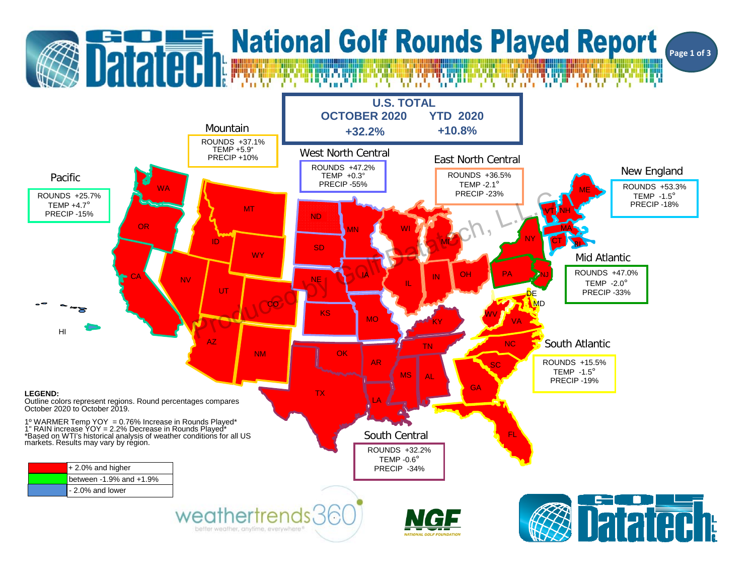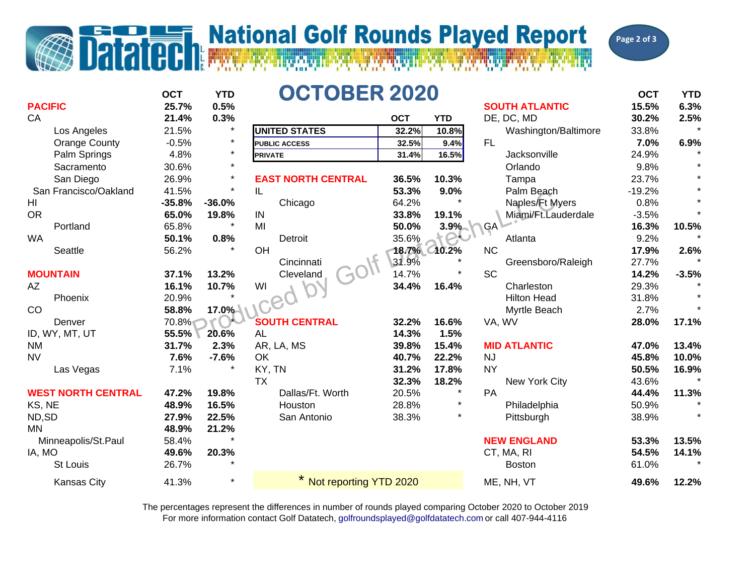## <u>I matematika managemental managemental me</u>

## **National Golf Rounds Played Report**



**OCT YTDD OCTOBER 2020 OCT OCTOBER 2020 PACIFIC 25.7% 0.5% SOUTH ATLANTIC 15.5% 6.3%** CA **21.4% 0.3% OCT YTD** DE, DC, MD **30.2% 2.5%** Los Angeles 21.5% \* **UNITED STATES 32.2% 10.8%** Washington/Baltimore 33.8% \* Orange County -0.5% \* **PUBLIC ACCESS 32.5% 9.4%** FL **7.0% 6.9%** Palm Springs 4.8% \* **31.4% 16.5%** Jacksonville 24.9% \* **Sacramento** o 30.6% \* Orlando 9.8% \* San Diego 26.9% \* **EAST NORTH CENTRAL 36.5% 10.3%** Tampa 23.7% \* San Francisco/Oakland 41.5% \* IL **53.3% 9.0%**Palm Beach -19.2% HI **-35.8% -36.0%**Chicago 64.2%  $*$  Naples/Ft Myers 0.8% OR **65.0% 19.8%** IN **33.8% 19.1%** Miami/Ft.Lauderdale -3.5% \* Portland 65.8% \* MI **50.0% 3.9%** GA **16.3% 10.5%** WA **50.1% 0.8%**% Detroit 35.6%  $\rightarrow$  C Atlanta 9.2% \* Seattle 56.2% \* OH **18.7% 10.2%** NC **17.9% 2.6%** Cincinnati 31.9% \* Greensboro/Raleigh 27.7% \* **MOUNTAIN 37.1% 13.2%** Cleveland 14.7% \* SC **14.2% -3.5%** AZ **16.1% 10.7%** WI **34.4% 16.4%** Charleston 29.3% \* Phoenix 20.9% \* Hilton Head 31.8% \* CO **58.8% 17.0%**Myrtle Beach 2.7%  $*$ Denver 70.8% **SOUTH CENTRAL 32.2% 16.6%** VA, WV **28.0% 17.1%** ID, WY, MT, UT **55.5% 20.6%** AL **14.3% 1.5%** NM **31.7% 2.3%** AR, LA, MS **39.8% 15.4% MID ATLANTIC 47.0% 13.4%** NV **7.6% -7.6%** OK **40.7% 22.2%** NJ **45.8% 10.0%** Las Vegas 7.1% \* KY, TN **31.2% 17.8%** NY **50.5% 16.9%** TX **32.3% 18.2%**New York City 43.6% **WEST NORTH CENTRAL 47.2% 19.8%** Dallas/Ft. Worth 20.5% \* PA **44.4% 11.3%** KS, NE **48.9% 16.5%** Houston 28.8% \* Philadelphia 50.9% \* ND,SD **27.9% 22.5%** San Antonio 38.3% \* Pittsburgh 38.9% \* MN **48.9% 21.2%** Minneapolis/St.Paul 58.4% \* **NEW ENGLAND 53.3% 13.5%** IA, MO **49.6% 20.3%** CT, MA, RI **54.5% 14.1%** St Louis 26.7% \* Boston 61.0% \*Kansas City 41.3% \* <mark>\* Not reporting YTD 2020 </mark> ME, NH, VT **49.6% 12.2% PRIVATE**93.3% 9.0% Paim Beach<br>
19.8% IN 33.8% 19.1% Naples Ft My<br>
19.8% IN 33.8% 19.1% Naples Ft My<br>
19.8% Detroit<br>
Concinnation Concinnation Concinnation<br>
13.2% Cleveland<br>
10.7% VI Concinnation 14.7% \* SC<br>
17.0% VI CONCUIR CEN

> For more information contact Golf Datatech, golfroundsplayed@golfdatatech.com or call 407-944-4116 The percentages represent the differences in number of rounds played comparing October 2020 to October 2019